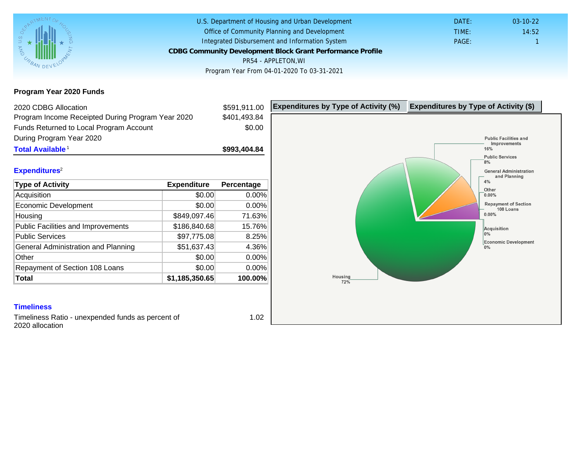## Program Year 2020 Funds

| 2020 CDBG Allocation                              |                | \$591,911.00 | Expenditures by Type of Activity (%) | Expenditure |
|---------------------------------------------------|----------------|--------------|--------------------------------------|-------------|
| Program Income Receipted During Program Year 2020 |                | \$401,493.84 |                                      |             |
| Funds Returned to Local Program Account           |                | \$0.00       |                                      |             |
| During Program Year 2020                          |                |              |                                      |             |
| Total Available <sup>1</sup>                      |                | \$993,404.84 |                                      |             |
|                                                   |                |              |                                      |             |
| Expenditures <sup>2</sup>                         |                |              |                                      |             |
| Type of Activity                                  | Expenditure    | Percentage   |                                      |             |
| Acquisition                                       | \$0.00         | 0.00%        |                                      |             |
| Economic Development                              | \$0.00         | 0.00%        |                                      |             |
| Housing                                           | \$849,097.46   | 71.63%       |                                      |             |
| Public Facilities and Improvements                | \$186,840.68   | 15.76%       |                                      |             |
| <b>Public Services</b>                            | \$97,775.08    | 8.25%        |                                      |             |
| General Administration and Planning               | \$51,637.43    | 4.36%        |                                      |             |
| Other                                             | \$0.00         | 0.00%        |                                      |             |
| Repayment of Section 108 Loans                    | \$0.00         | 0.00%        |                                      |             |
| Total                                             | \$1,185,350.65 | 100.00%      |                                      |             |
|                                                   |                |              |                                      |             |
| <b>Timeliness</b>                                 |                |              |                                      |             |

Timeliness Ratio - unexpended funds as percent of 2020 allocation

1.02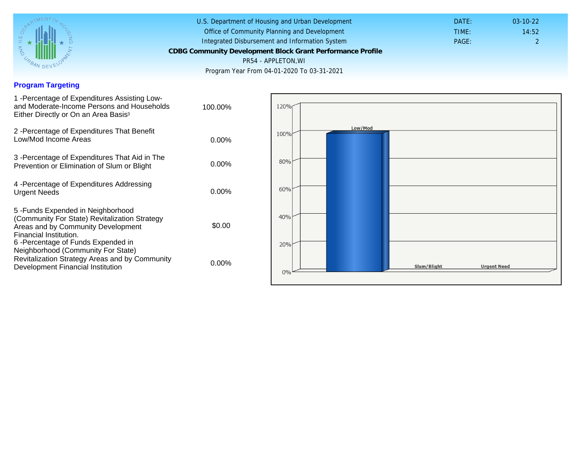### Program Targeting

| 1 - Percentage of Expenditures Assisting Low-<br>and Moderate-Income Persons and Households<br>Either Directly or On an Area Basis <sup>3</sup>                                                                              | 100.00%  |  |
|------------------------------------------------------------------------------------------------------------------------------------------------------------------------------------------------------------------------------|----------|--|
| 2 - Percentage of Expenditures That Benefit<br>Low/Mod Income Areas                                                                                                                                                          | $0.00\%$ |  |
| 3 - Percentage of Expenditures That Aid in The<br>Prevention or Elimination of Slum or Blight                                                                                                                                | $0.00\%$ |  |
| 4 - Percentage of Expenditures Addressing<br><b>Urgent Needs</b>                                                                                                                                                             | $0.00\%$ |  |
| 5-Funds Expended in Neighborhood<br>(Community For State) Revitalization Strategy<br>Areas and by Community Development<br>Financial Institution.<br>6-Percentage of Funds Expended in<br>Neighborhood (Community For State) | \$0.00   |  |
| Revitalization Strategy Areas and by Community<br>Development Financial Institution                                                                                                                                          | $0.00\%$ |  |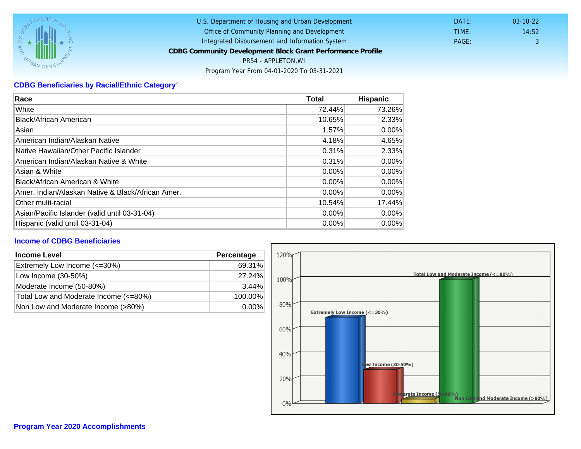# CDBG Beneficiaries by Racial/Ethnic Category <sup>4</sup>

| Race                                              | Total    | Hispanic |
|---------------------------------------------------|----------|----------|
| White                                             | 72.44%   | 73.26%   |
| Black/African American                            | 10.65%   | 2.33%    |
| Asian                                             | 1.57%    | $0.00\%$ |
| American Indian/Alaskan Native                    | 4.18%    | 4.65%    |
| lNative Hawaiian/Other Pacific Islander           | 0.31%    | 2.33%    |
| American Indian/Alaskan Native & White            | 0.31%    | $0.00\%$ |
| Asian & White                                     | 0.00%    | 0.00%    |
| Black/African American & White                    | $0.00\%$ | $0.00\%$ |
| Amer. Indian/Alaskan Native & Black/African Amer. | $0.00\%$ | $0.00\%$ |
| Other multi-racial                                | 10.54%   | 17.44%   |
| Asian/Pacific Islander (valid until 03-31-04)     | $0.00\%$ | $0.00\%$ |
| Hispanic (valid until 03-31-04)                   | $0.00\%$ | 0.00%    |

#### Income of CDBG Beneficiaries

| Income Level                          | Percentage |
|---------------------------------------|------------|
| Extremely Low Income (<=30%)          | 69.31%     |
| Low Income (30-50%)                   | 27.24%     |
| Moderate Income (50-80%)              | $3.44\%$   |
| Total Low and Moderate Income (<=80%) | 100.00%    |
| Non Low and Moderate Income (>80%)    | $0.00\%$   |